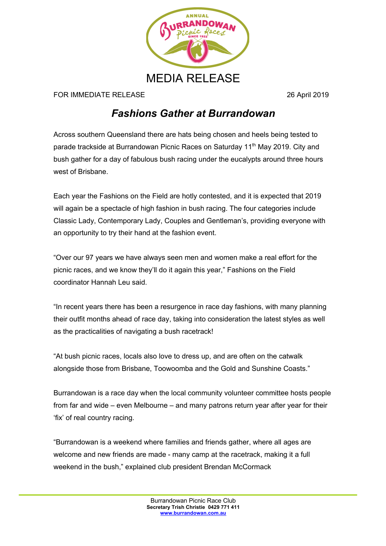

FOR IMMEDIATE RELEASE 26 April 2019

## *Fashions Gather at Burrandowan*

Across southern Queensland there are hats being chosen and heels being tested to parade trackside at Burrandowan Picnic Races on Saturday 11<sup>th</sup> May 2019. City and bush gather for a day of fabulous bush racing under the eucalypts around three hours west of Brisbane.

Each year the Fashions on the Field are hotly contested, and it is expected that 2019 will again be a spectacle of high fashion in bush racing. The four categories include Classic Lady, Contemporary Lady, Couples and Gentleman's, providing everyone with an opportunity to try their hand at the fashion event.

"Over our 97 years we have always seen men and women make a real effort for the picnic races, and we know they'll do it again this year," Fashions on the Field coordinator Hannah Leu said.

"In recent years there has been a resurgence in race day fashions, with many planning their outfit months ahead of race day, taking into consideration the latest styles as well as the practicalities of navigating a bush racetrack!

"At bush picnic races, locals also love to dress up, and are often on the catwalk alongside those from Brisbane, Toowoomba and the Gold and Sunshine Coasts."

Burrandowan is a race day when the local community volunteer committee hosts people from far and wide – even Melbourne – and many patrons return year after year for their 'fix' of real country racing.

"Burrandowan is a weekend where families and friends gather, where all ages are welcome and new friends are made - many camp at the racetrack, making it a full weekend in the bush," explained club president Brendan McCormack